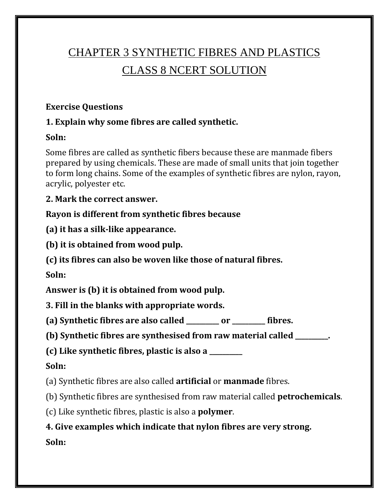# CHAPTER 3 SYNTHETIC FIBRES AND PLASTICS CLASS 8 NCERT SOLUTION

## **Exercise Questions**

### **1. Explain why some fibres are called synthetic.**

## **Soln:**

Some fibres are called as synthetic fibers because these are manmade fibers prepared by using chemicals. These are made of small units that join together to form long chains. Some of the examples of synthetic fibres are nylon, rayon, acrylic, polyester etc.

**2. Mark the correct answer.**

**Rayon is different from synthetic fibres because**

**(a) it has a silk-like appearance.**

**(b) it is obtained from wood pulp.**

**(c) its fibres can also be woven like those of natural fibres.**

**Soln:**

**Answer is (b) it is obtained from wood pulp.**

**3. Fill in the blanks with appropriate words.**

**(a) Synthetic fibres are also called \_\_\_\_\_\_\_\_\_\_ or \_\_\_\_\_\_\_\_\_\_ fibres.**

**(b) Synthetic fibres are synthesised from raw material called \_\_\_\_\_\_\_\_\_\_.**

**(c) Like synthetic fibres, plastic is also a \_\_\_\_\_\_\_\_\_\_**

# **Soln:**

(a) Synthetic fibres are also called **artificial** or **manmade** fibres.

(b) Synthetic fibres are synthesised from raw material called **petrochemicals**.

(c) Like synthetic fibres, plastic is also a **polymer**.

# **4. Give examples which indicate that nylon fibres are very strong.**

**Soln:**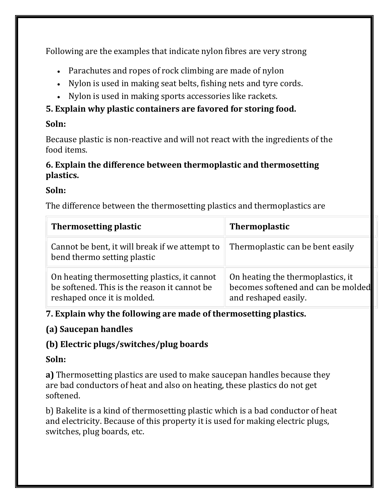Following are the examples that indicate nylon fibres are very strong

- Parachutes and ropes of rock climbing are made of nylon
- Nylon is used in making seat belts, fishing nets and tyre cords.
- Nylon is used in making sports accessories like rackets.

# **5. Explain why plastic containers are favored for storing food.**

# **Soln:**

Because plastic is non-reactive and will not react with the ingredients of the food items.

# **6. Explain the difference between thermoplastic and thermosetting plastics.**

# **Soln:**

The difference between the thermosetting plastics and thermoplastics are

| Thermosetting plastic                                                                                                       | <b>Thermoplastic</b>                                                                            |
|-----------------------------------------------------------------------------------------------------------------------------|-------------------------------------------------------------------------------------------------|
| Cannot be bent, it will break if we attempt to<br>bend thermo setting plastic                                               | Thermoplastic can be bent easily                                                                |
| On heating thermosetting plastics, it cannot<br>be softened. This is the reason it cannot be<br>reshaped once it is molded. | On heating the thermoplastics, it<br>becomes softened and can be molded<br>and reshaped easily. |

# **7. Explain why the following are made of thermosetting plastics.**

# **(a) Saucepan handles**

# **(b) Electric plugs/switches/plug boards**

# **Soln:**

**a)** Thermosetting plastics are used to make saucepan handles because they are bad conductors of heat and also on heating, these plastics do not get softened.

b) Bakelite is a kind of thermosetting plastic which is a bad conductor of heat and electricity. Because of this property it is used for making electric plugs, switches, plug boards, etc.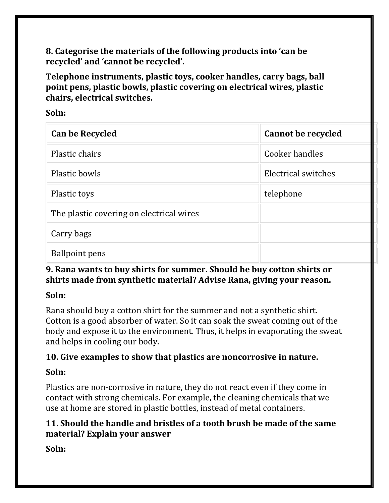**8. Categorise the materials of the following products into 'can be recycled' and 'cannot be recycled'.**

**Telephone instruments, plastic toys, cooker handles, carry bags, ball point pens, plastic bowls, plastic covering on electrical wires, plastic chairs, electrical switches.**

#### **Soln:**

| <b>Can be Recycled</b>                   | <b>Cannot be recycled</b> |
|------------------------------------------|---------------------------|
| Plastic chairs                           | Cooker handles            |
| Plastic bowls                            | Electrical switches       |
| Plastic toys                             | telephone                 |
| The plastic covering on electrical wires |                           |
| Carry bags                               |                           |
| <b>Ballpoint pens</b>                    |                           |

#### **9. Rana wants to buy shirts for summer. Should he buy cotton shirts or shirts made from synthetic material? Advise Rana, giving your reason.**

### **Soln:**

Rana should buy a cotton shirt for the summer and not a synthetic shirt. Cotton is a good absorber of water. So it can soak the sweat coming out of the body and expose it to the environment. Thus, it helps in evaporating the sweat and helps in cooling our body.

### **10. Give examples to show that plastics are noncorrosive in nature.**

#### **Soln:**

Plastics are non-corrosive in nature, they do not react even if they come in contact with strong chemicals. For example, the cleaning chemicals that we use at home are stored in plastic bottles, instead of metal containers.

#### **11. Should the handle and bristles of a tooth brush be made of the same material? Explain your answer**

**Soln:**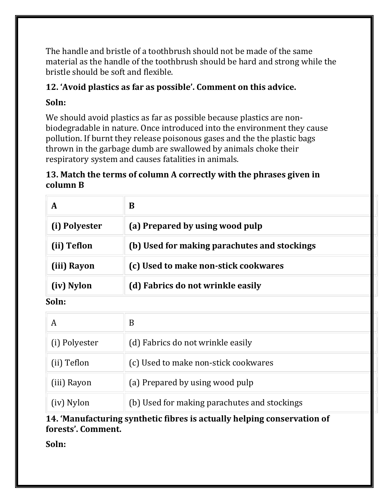The handle and bristle of a toothbrush should not be made of the same material as the handle of the toothbrush should be hard and strong while the bristle should be soft and flexible.

# **12. 'Avoid plastics as far as possible'. Comment on this advice.**

# **Soln:**

We should avoid plastics as far as possible because plastics are nonbiodegradable in nature. Once introduced into the environment they cause pollution. If burnt they release poisonous gases and the the plastic bags thrown in the garbage dumb are swallowed by animals choke their respiratory system and causes fatalities in animals.

## **13. Match the terms of column A correctly with the phrases given in column B**

| A             | B                                            |
|---------------|----------------------------------------------|
| (i) Polyester | (a) Prepared by using wood pulp              |
| (ii) Teflon   | (b) Used for making parachutes and stockings |
| (iii) Rayon   | (c) Used to make non-stick cookwares         |
| (iv) Nylon    | (d) Fabrics do not wrinkle easily            |
| Soln:         |                                              |

|               | В                                            |
|---------------|----------------------------------------------|
| (i) Polyester | (d) Fabrics do not wrinkle easily            |
| (ii) Teflon   | (c) Used to make non-stick cookwares         |
| (iii) Rayon   | (a) Prepared by using wood pulp              |
| (iv) Nylon    | (b) Used for making parachutes and stockings |

### **14. 'Manufacturing synthetic fibres is actually helping conservation of forests'. Comment.**

**Soln:**